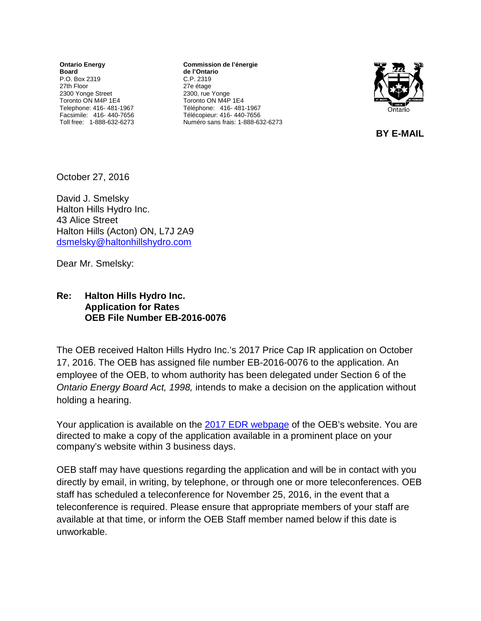**Ontario Energy Board** P.O. Box 2319 27th Floor 2300 Yonge Street Toronto ON M4P 1E4 Telephone: 416- 481-1967 Facsimile: 416- 440-7656 Toll free: 1-888-632-6273

**Commission de l'énergie de l'Ontario** C.P. 2319 27e étage 2300, rue Yonge Toronto ON M4P 1E4 Téléphone: 416- 481-1967 Télécopieur: 416- 440-7656 Numéro sans frais: 1-888-632-6273



**BY E-MAIL** 

October 27, 2016

David J. Smelsky Halton Hills Hydro Inc. 43 Alice Street Halton Hills (Acton) ON, L7J 2A9 [dsmelsky@haltonhillshydro.com](mailto:dsmelsky@haltonhillshydro.com)

Dear Mr. Smelsky:

## **Re: Halton Hills Hydro Inc. Application for Rates OEB File Number EB-2016-0076**

The OEB received Halton Hills Hydro Inc.'s 2017 Price Cap IR application on October 17, 2016. The OEB has assigned file number EB-2016-0076 to the application. An employee of the OEB, to whom authority has been delegated under Section 6 of the *Ontario Energy Board Act, 1998,* intends to make a decision on the application without holding a hearing.

Your application is available on the 2017 [EDR webpage](http://www.ontarioenergyboard.ca/oeb/Industry/Regulatory%20Proceedings/Applications%20Before%20the%20Board/Electricity%20Distribution%20Rates/2017%20Electricity%20Distribution%20Rate%20Applications) of the OEB's website. You are directed to make a copy of the application available in a prominent place on your company's website within 3 business days.

OEB staff may have questions regarding the application and will be in contact with you directly by email, in writing, by telephone, or through one or more teleconferences. OEB staff has scheduled a teleconference for November 25, 2016, in the event that a teleconference is required. Please ensure that appropriate members of your staff are available at that time, or inform the OEB Staff member named below if this date is unworkable.